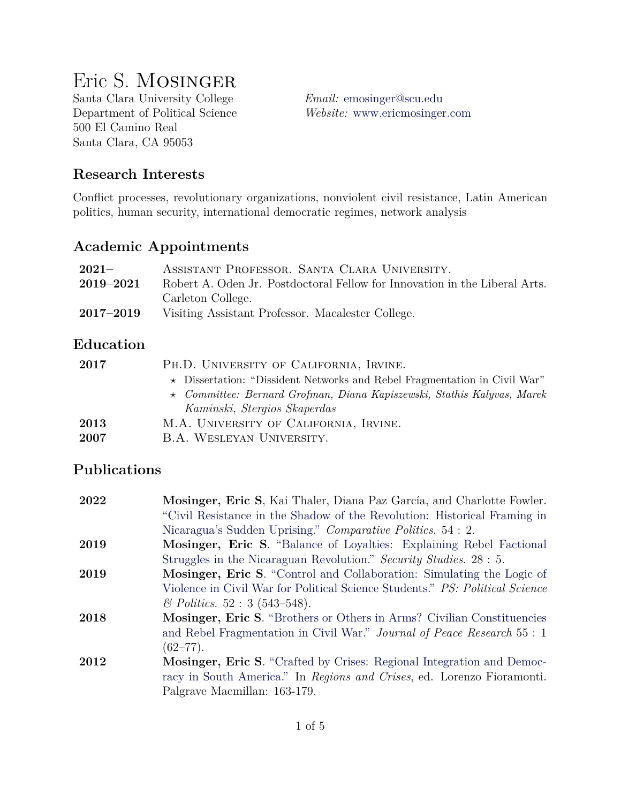# Eric S. Mosinger

Santa Clara University College *Email:* [emosinger@scu.edu](mailto:emosinger@scu.edu) 500 El Camino Real Santa Clara, CA 95053

Department of Political Science *Website:* <www.ericmosinger.com>

## **Research Interests**

Conflict processes, revolutionary organizations, nonviolent civil resistance, Latin American politics, human security, international democratic regimes, network analysis

#### **Academic Appointments**

| $2021 -$      | ASSISTANT PROFESSOR. SANTA CLARA UNIVERSITY.                               |
|---------------|----------------------------------------------------------------------------|
| $2019 - 2021$ | Robert A. Oden Jr. Postdoctoral Fellow for Innovation in the Liberal Arts. |
|               | Carleton College.                                                          |
| $2017 - 2019$ | Visiting Assistant Professor. Macalester College.                          |

#### **Education**

| 2017 | PH.D. UNIVERSITY OF CALIFORNIA, IRVINE.                                         |
|------|---------------------------------------------------------------------------------|
|      | $\star$ Dissertation: "Dissident Networks and Rebel Fragmentation in Civil War" |
|      | $\star$ Committee: Bernard Grofman, Diana Kapiszewski, Stathis Kalyvas, Marek   |
|      | Kaminski, Stergios Skaperdas                                                    |
| 2013 | M.A. UNIVERSITY OF CALIFORNIA, IRVINE.                                          |
| 2007 | B.A. WESLEYAN UNIVERSITY.                                                       |

#### **Publications**

| 2022 | Mosinger, Eric S, Kai Thaler, Diana Paz García, and Charlotte Fowler.        |
|------|------------------------------------------------------------------------------|
|      | "Civil Resistance in the Shadow of the Revolution: Historical Framing in     |
|      | Nicaragua's Sudden Uprising." Comparative Politics. 54 : 2.                  |
| 2019 | Mosinger, Eric S. "Balance of Loyalties: Explaining Rebel Factional          |
|      | Struggles in the Nicaraguan Revolution." Security Studies. 28 : 5.           |
| 2019 | Mosinger, Eric S. "Control and Collaboration: Simulating the Logic of        |
|      | Violence in Civil War for Political Science Students." PS: Political Science |
|      | $\&$ Politics. 52 : 3 (543–548).                                             |
| 2018 | Mosinger, Eric S. "Brothers or Others in Arms? Civilian Constituencies       |
|      | and Rebel Fragmentation in Civil War." Journal of Peace Research 55 : 1      |
|      | $(62 - 77)$ .                                                                |
| 2012 | <b>Mosinger, Eric S.</b> "Crafted by Crises: Regional Integration and Democ- |
|      | racy in South America." In Regions and Crises, ed. Lorenzo Fioramonti.       |
|      | Palgrave Macmillan: 163-179.                                                 |
|      |                                                                              |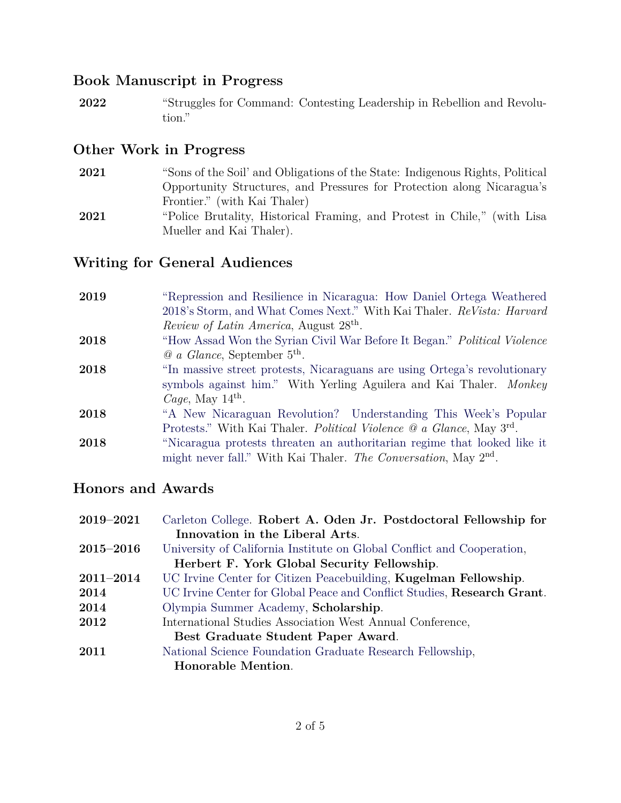## **Book Manuscript in Progress**

**2022** "Struggles for Command: Contesting Leadership in Rebellion and Revolution."

## **Other Work in Progress**

- **2021** "Sons of the Soil' and Obligations of the State: Indigenous Rights, Political Opportunity Structures, and Pressures for Protection along Nicaragua's Frontier." (with Kai Thaler)
- **2021** "Police Brutality, Historical Framing, and Protest in Chile," (with Lisa Mueller and Kai Thaler).

## **Writing for General Audiences**

| 2019 | "Repression and Resilience in Nicaragua: How Daniel Ortega Weathered                    |
|------|-----------------------------------------------------------------------------------------|
|      | 2018's Storm, and What Comes Next." With Kai Thaler. ReVista: Harvard                   |
|      | <i>Review of Latin America</i> , August 28 <sup>th</sup> .                              |
| 2018 | "How Assad Won the Syrian Civil War Before It Began." Political Violence                |
|      | $Q_a$ <i>Glance</i> , September 5 <sup>th</sup> .                                       |
| 2018 | "In massive street protests, Nicaraguans are using Ortega's revolutionary               |
|      | symbols against him." With Yerling Aguilera and Kai Thaler. Monkey                      |
|      | <i>Cage</i> , May $14^{\text{th}}$ .                                                    |
| 2018 | "A New Nicaraguan Revolution? Understanding This Week's Popular                         |
|      | Protests." With Kai Thaler. <i>Political Violence</i> @ a Glance, May 3 <sup>rd</sup> . |
| 2018 | "Nicaragua protests threaten an authoritarian regime that looked like it                |
|      | might never fall." With Kai Thaler. The Conversation, May 2 <sup>nd</sup> .             |

#### **Honors and Awards**

| 2019-2021                                   | Carleton College. Robert A. Oden Jr. Postdoctoral Fellowship for        |
|---------------------------------------------|-------------------------------------------------------------------------|
|                                             | Innovation in the Liberal Arts.                                         |
| $2015 - 2016$                               | University of California Institute on Global Conflict and Cooperation,  |
| Herbert F. York Global Security Fellowship. |                                                                         |
| $2011 - 2014$                               | UC Irvine Center for Citizen Peacebuilding, Kugelman Fellowship.        |
| 2014                                        | UC Irvine Center for Global Peace and Conflict Studies, Research Grant. |
| 2014                                        | Olympia Summer Academy, Scholarship.                                    |
| 2012                                        | International Studies Association West Annual Conference,               |
|                                             | Best Graduate Student Paper Award.                                      |
| 2011                                        | National Science Foundation Graduate Research Fellowship,               |
|                                             | Honorable Mention.                                                      |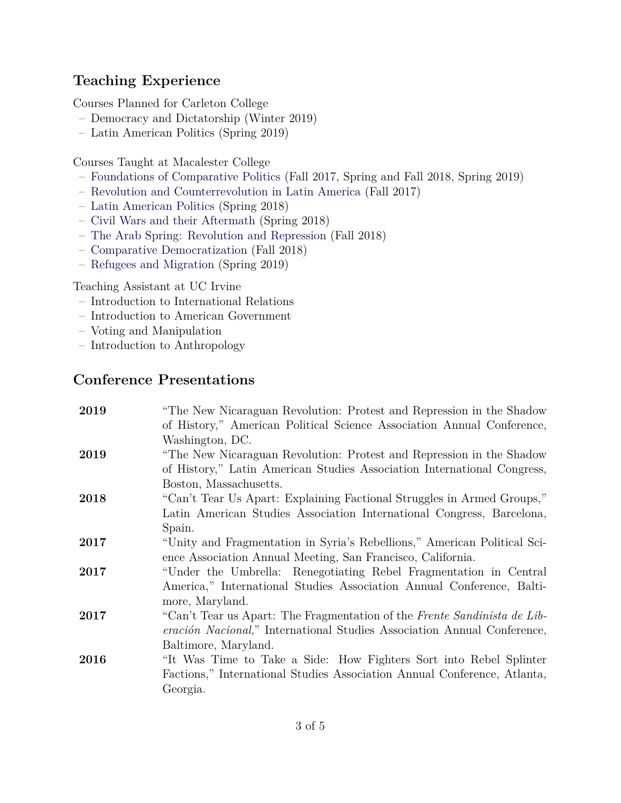# **Teaching Experience**

Courses Planned for Carleton College

- Democracy and Dictatorship (Winter 2019)
- Latin American Politics (Spring 2019)

Courses Taught at Macalester College

- [Foundations of Comparative Politics](http://www.ericmosinger.com/uploads/4/4/4/0/44403123/eric_mosinger_-_fcp_syllabus.pdf) (Fall 2017, Spring and Fall 2018, Spring 2019)
- [Revolution and Counterrevolution in Latin America](http://www.ericmosinger.com/uploads/4/4/4/0/44403123/eric_mosinger_-_laracr_syllabus.pdf) (Fall 2017)
- [Latin American Politics](http://www.ericmosinger.com/uploads/4/4/4/0/44403123/eric_mosinger_-_lap_syllabus.pdf) (Spring 2018)
- [Civil Wars and their Aftermath](http://www.ericmosinger.com/uploads/4/4/4/0/44403123/eric_mosinger_-_cwa_syllabus.pdf) (Spring 2018)
- [The Arab Spring: Revolution and Repression](https://www.ericmosinger.com/uploads/4/4/4/0/44403123/eric_mosinger_-_arab_spring_syllabus.pdf) (Fall 2018)
- [Comparative Democratization](https://www.ericmosinger.com/uploads/4/4/4/0/44403123/eric_mosinger_-_comparative_democratization_syllabus.pdf) (Fall 2018)
- [Refugees and Migration](https://www.ericmosinger.com/uploads/4/4/4/0/44403123/eric_mosinger_-_refugees___migration_syllabus_2019_-_updated_1-31.pdf) (Spring 2019)

Teaching Assistant at UC Irvine

- Introduction to International Relations
- Introduction to American Government
- Voting and Manipulation
- Introduction to Anthropology

## **Conference Presentations**

| 2019 | "The New Nicaraguan Revolution: Protest and Repression in the Shadow<br>of History," American Political Science Association Annual Conference, |
|------|------------------------------------------------------------------------------------------------------------------------------------------------|
|      | Washington, DC.                                                                                                                                |
| 2019 | "The New Nicaraguan Revolution: Protest and Repression in the Shadow                                                                           |
|      | of History," Latin American Studies Association International Congress,                                                                        |
|      | Boston, Massachusetts.                                                                                                                         |
| 2018 | "Can't Tear Us Apart: Explaining Factional Struggles in Armed Groups,"                                                                         |
|      | Latin American Studies Association International Congress, Barcelona,                                                                          |
|      | Spain.                                                                                                                                         |
| 2017 | "Unity and Fragmentation in Syria's Rebellions," American Political Sci-                                                                       |
|      | ence Association Annual Meeting, San Francisco, California.                                                                                    |
| 2017 | "Under the Umbrella: Renegotiating Rebel Fragmentation in Central                                                                              |
|      | America," International Studies Association Annual Conference, Balti-                                                                          |
|      | more, Maryland.                                                                                                                                |
| 2017 | "Can't Tear us Apart: The Fragmentation of the Frente Sandinista de Lib-                                                                       |
|      | <i>eración Nacional</i> ," International Studies Association Annual Conference,                                                                |
|      | Baltimore, Maryland.                                                                                                                           |
| 2016 | "It Was Time to Take a Side: How Fighters Sort into Rebel Splinter                                                                             |
|      | Factions," International Studies Association Annual Conference, Atlanta,                                                                       |
|      | Georgia.                                                                                                                                       |
|      |                                                                                                                                                |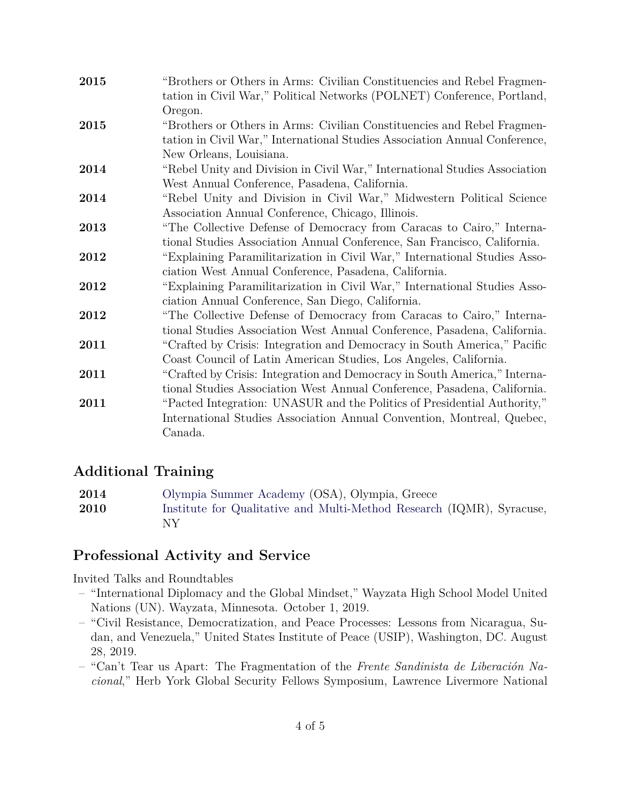| 2015 | "Brothers or Others in Arms: Civilian Constituencies and Rebel Fragmen-<br>tation in Civil War," Political Networks (POLNET) Conference, Portland,                                                                                        |
|------|-------------------------------------------------------------------------------------------------------------------------------------------------------------------------------------------------------------------------------------------|
| 2015 | Oregon.<br>"Brothers or Others in Arms: Civilian Constituencies and Rebel Fragmen-                                                                                                                                                        |
|      | tation in Civil War," International Studies Association Annual Conference,<br>New Orleans, Louisiana.                                                                                                                                     |
| 2014 | "Rebel Unity and Division in Civil War," International Studies Association                                                                                                                                                                |
| 2014 | West Annual Conference, Pasadena, California.<br>"Rebel Unity and Division in Civil War," Midwestern Political Science                                                                                                                    |
| 2013 | Association Annual Conference, Chicago, Illinois.<br>"The Collective Defense of Democracy from Caracas to Cairo," Interna-                                                                                                                |
| 2012 | tional Studies Association Annual Conference, San Francisco, California.<br>"Explaining Paramilitarization in Civil War," International Studies Asso-                                                                                     |
| 2012 | ciation West Annual Conference, Pasadena, California.<br>"Explaining Paramilitarization in Civil War," International Studies Asso-                                                                                                        |
|      | ciation Annual Conference, San Diego, California.                                                                                                                                                                                         |
| 2012 | "The Collective Defense of Democracy from Caracas to Cairo," Interna-<br>tional Studies Association West Annual Conference, Pasadena, California.                                                                                         |
| 2011 | "Crafted by Crisis: Integration and Democracy in South America," Pacific<br>Coast Council of Latin American Studies, Los Angeles, California.                                                                                             |
| 2011 | "Crafted by Crisis: Integration and Democracy in South America," Interna-                                                                                                                                                                 |
| 2011 | tional Studies Association West Annual Conference, Pasadena, California.<br>"Pacted Integration: UNASUR and the Politics of Presidential Authority,"<br>International Studies Association Annual Convention, Montreal, Quebec,<br>Canada. |

#### **Additional Training**

| 2014 | Olympia Summer Academy (OSA), Olympia, Greece                               |
|------|-----------------------------------------------------------------------------|
| 2010 | Institute for Qualitative and Multi-Method Research (IQMR), Syracuse,<br>ΝY |

#### **Professional Activity and Service**

Invited Talks and Roundtables

- "International Diplomacy and the Global Mindset," Wayzata High School Model United Nations (UN). Wayzata, Minnesota. October 1, 2019.
- "Civil Resistance, Democratization, and Peace Processes: Lessons from Nicaragua, Sudan, and Venezuela," United States Institute of Peace (USIP), Washington, DC. August 28, 2019.
- "Can't Tear us Apart: The Fragmentation of the *Frente Sandinista de Liberación Nacional*," Herb York Global Security Fellows Symposium, Lawrence Livermore National